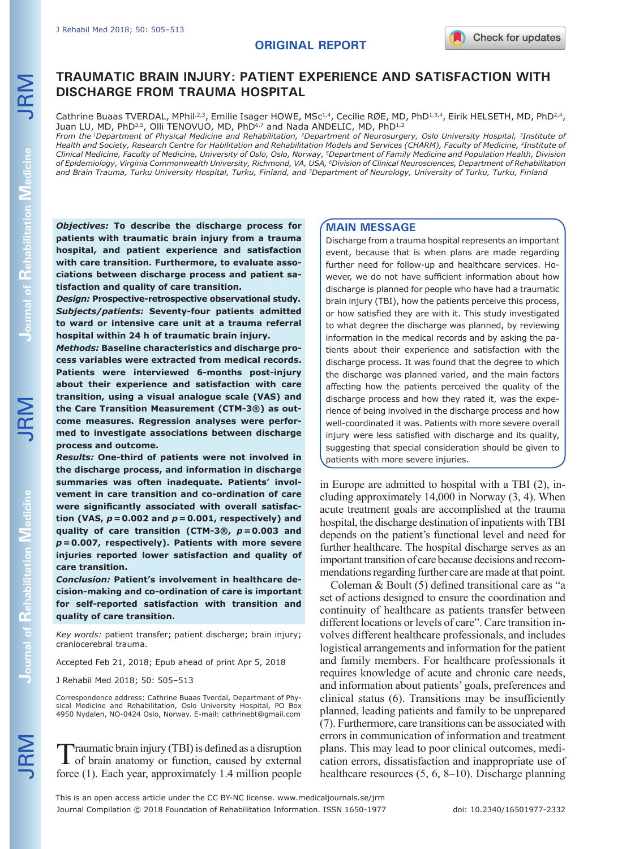# **TRAUMATIC BRAIN INJURY: PATIENT EXPERIENCE AND SATISFACTION WITH DISCHARGE FROM TRAUMA HOSPITAL**

Cathrine Buaas TVERDAL, MPhil<sup>,2,3</sup>, Emilie Isager HOWE, MSc<sup>1,4</sup>, Cecilie RØE, MD, PhD<sup>1,3,4</sup>, Eirik HELSETH, MD, PhD<sup>2,4</sup>, Juan LU, MD, PhD<sup>3,5</sup>, Olli TENOVUO, MD, PhD<sup>6,7</sup> and Nada ANDELIC, MD, PhD<sup>1,3</sup>

*From the 1Department of Physical Medicine and Rehabilitation, 2Department of Neurosurgery, Oslo University Hospital, 3Institute of Health and Society, Research Centre for Habilitation and Rehabilitation Models and Services (CHARM), Faculty of Medicine, 4Institute of Clinical Medicine, Faculty of Medicine, University of Oslo, Oslo, Norway, 5Department of Family Medicine and Population Health, Division of Epidemiology, Virginia Commonwealth University, Richmond, VA, USA, 6Division of Clinical Neurosciences, Department of Rehabilitation and Brain Trauma, Turku University Hospital, Turku, Finland, and 7Department of Neurology, University of Turku, Turku, Finland*

*Objectives:* **To describe the discharge process for patients with traumatic brain injury from a trauma hospital, and patient experience and satisfaction with care transition. Furthermore, to evaluate associations between discharge process and patient satisfaction and quality of care transition.**

*Design:* **Prospective-retrospective observational study.**  *Subjects/patients:* **Seventy-four patients admitted to ward or intensive care unit at a trauma referral hospital within 24 h of traumatic brain injury.**

*Methods:* **Baseline characteristics and discharge process variables were extracted from medical records. Patients were interviewed 6-months post-injury about their experience and satisfaction with care transition, using a visual analogue scale (VAS) and the Care Transition Measurement (CTM-3®) as outcome measures. Regression analyses were performed to investigate associations between discharge process and outcome.** 

*Results:* **One-third of patients were not involved in the discharge process, and information in discharge summaries was often inadequate. Patients' involvement in care transition and co-ordination of care were significantly associated with overall satisfaction (VAS,** *p***=0.002 and** *p***=0.001, respectively) and quality of care transition (CTM-3®,** *p***=0.003 and**  *p***=0.007, respectively). Patients with more severe injuries reported lower satisfaction and quality of care transition.** 

*Conclusion:* **Patient's involvement in healthcare decision-making and co-ordination of care is important for self-reported satisfaction with transition and quality of care transition.** 

*Key words:* patient transfer; patient discharge; brain injury; craniocerebral trauma.

Accepted Feb 21, 2018; Epub ahead of print Apr 5, 2018

J Rehabil Med 2018; 50: 505–513

Correspondence address: Cathrine Buaas Tverdal, Department of Physical Medicine and Rehabilitation, Oslo University Hospital, PO Box 4950 Nydalen, NO-0424 Oslo, Norway. E-mail: cathrinebt@gmail.com

Traumatic brain injury (TBI) is defined as a disruption<br>of brain anatomy or function, caused by external force (1). Each year, approximately 1.4 million people

# **MAIN MESSAGE**

Discharge from a trauma hospital represents an important event, because that is when plans are made regarding further need for follow-up and healthcare services. However, we do not have sufficient information about how discharge is planned for people who have had a traumatic brain injury (TBI), how the patients perceive this process, or how satisfied they are with it. This study investigated to what degree the discharge was planned, by reviewing information in the medical records and by asking the patients about their experience and satisfaction with the discharge process. It was found that the degree to which the discharge was planned varied, and the main factors affecting how the patients perceived the quality of the discharge process and how they rated it, was the experience of being involved in the discharge process and how well-coordinated it was. Patients with more severe overall injury were less satisfied with discharge and its quality, suggesting that special consideration should be given to patients with more severe injuries.

in Europe are admitted to hospital with a TBI (2), including approximately 14,000 in Norway (3, 4). When acute treatment goals are accomplished at the trauma hospital, the discharge destination of inpatients with TBI depends on the patient's functional level and need for further healthcare. The hospital discharge serves as an important transition of care because decisions and recommendations regarding further care are made at that point.

Coleman & Boult (5) defined transitional care as "a set of actions designed to ensure the coordination and continuity of healthcare as patients transfer between different locations or levels of care". Care transition involves different healthcare professionals, and includes logistical arrangements and information for the patient and family members. For healthcare professionals it requires knowledge of acute and chronic care needs, and information about patients' goals, preferences and clinical status (6). Transitions may be insufficiently planned, leading patients and family to be unprepared (7). Furthermore, care transitions can be associated with errors in communication of information and treatment plans. This may lead to poor clinical outcomes, medication errors, dissatisfaction and inappropriate use of healthcare resources (5, 6, 8–10). Discharge planning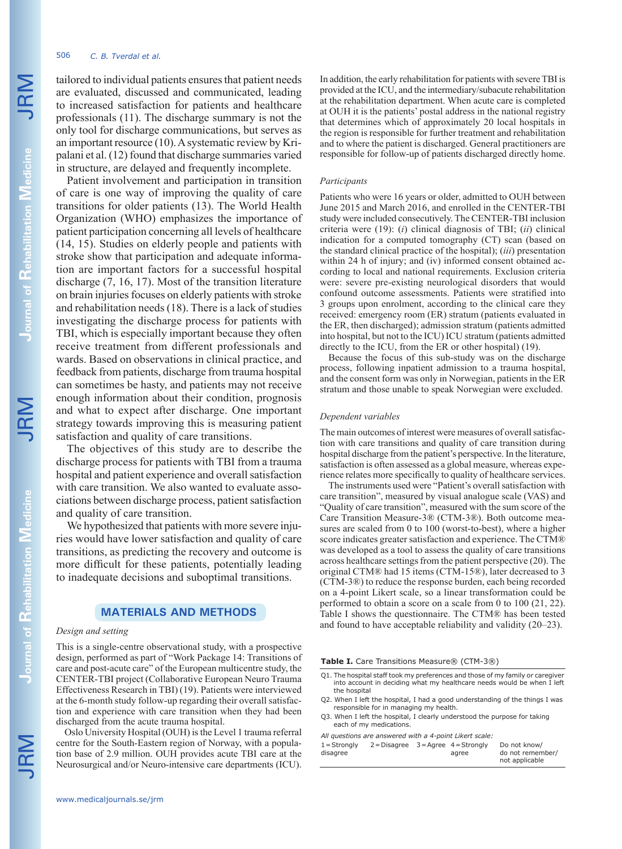# 506 *C. B. Tverdal et al.*

tailored to individual patients ensures that patient needs are evaluated, discussed and communicated, leading to increased satisfaction for patients and healthcare professionals (11). The discharge summary is not the only tool for discharge communications, but serves as an important resource (10). A systematic review by Kripalani et al. (12) found that discharge summaries varied in structure, are delayed and frequently incomplete.

Patient involvement and participation in transition of care is one way of improving the quality of care transitions for older patients (13). The World Health Organization (WHO) emphasizes the importance of patient participation concerning all levels of healthcare (14, 15). Studies on elderly people and patients with stroke show that participation and adequate information are important factors for a successful hospital discharge (7, 16, 17). Most of the transition literature on brain injuries focuses on elderly patients with stroke and rehabilitation needs (18). There is a lack of studies investigating the discharge process for patients with TBI, which is especially important because they often receive treatment from different professionals and wards. Based on observations in clinical practice, and feedback from patients, discharge from trauma hospital can sometimes be hasty, and patients may not receive enough information about their condition, prognosis and what to expect after discharge. One important strategy towards improving this is measuring patient satisfaction and quality of care transitions.

The objectives of this study are to describe the discharge process for patients with TBI from a trauma hospital and patient experience and overall satisfaction with care transition. We also wanted to evaluate associations between discharge process, patient satisfaction and quality of care transition.

We hypothesized that patients with more severe injuries would have lower satisfaction and quality of care transitions, as predicting the recovery and outcome is more difficult for these patients, potentially leading to inadequate decisions and suboptimal transitions.

# **MATERIALS AND METHODS**

### *Design and setting*

This is a single-centre observational study, with a prospective design, performed as part of "Work Package 14: Transitions of care and post-acute care" of the European multicentre study, the CENTER-TBI project (Collaborative European Neuro Trauma Effectiveness Research in TBI) (19). Patients were interviewed at the 6-month study follow-up regarding their overall satisfaction and experience with care transition when they had been discharged from the acute trauma hospital.

Oslo University Hospital (OUH) is the Level 1 trauma referral centre for the South-Eastern region of Norway, with a population base of 2.9 million. OUH provides acute TBI care at the Neurosurgical and/or Neuro-intensive care departments (ICU). In addition, the early rehabilitation for patients with severe TBI is provided at the ICU, and the intermediary/subacute rehabilitation at the rehabilitation department. When acute care is completed at OUH it is the patients' postal address in the national registry that determines which of approximately 20 local hospitals in the region is responsible for further treatment and rehabilitation and to where the patient is discharged. General practitioners are responsible for follow-up of patients discharged directly home.

### *Participants*

Patients who were 16 years or older, admitted to OUH between June 2015 and March 2016, and enrolled in the CENTER-TBI study were included consecutively. The CENTER-TBI inclusion criteria were (19): (*i*) clinical diagnosis of TBI; (*ii*) clinical indication for a computed tomography (CT) scan (based on the standard clinical practice of the hospital); (*iii*) presentation within 24 h of injury; and (iv) informed consent obtained according to local and national requirements. Exclusion criteria were: severe pre-existing neurological disorders that would confound outcome assessments. Patients were stratified into 3 groups upon enrolment, according to the clinical care they received: emergency room (ER) stratum (patients evaluated in the ER, then discharged); admission stratum (patients admitted into hospital, but not to the ICU) ICU stratum (patients admitted directly to the ICU, from the ER or other hospital) (19).

Because the focus of this sub-study was on the discharge process, following inpatient admission to a trauma hospital, and the consent form was only in Norwegian, patients in the ER stratum and those unable to speak Norwegian were excluded.

## *Dependent variables*

The main outcomes of interest were measures of overall satisfaction with care transitions and quality of care transition during hospital discharge from the patient's perspective. In the literature, satisfaction is often assessed as a global measure, whereas experience relates more specifically to quality of healthcare services.

The instruments used were "Patient's overall satisfaction with care transition", measured by visual analogue scale (VAS) and "Quality of care transition", measured with the sum score of the Care Transition Measure-3® (CTM-3®). Both outcome measures are scaled from 0 to 100 (worst-to-best), where a higher score indicates greater satisfaction and experience. The CTM® was developed as a tool to assess the quality of care transitions across healthcare settings from the patient perspective (20). The original CTM® had 15 items (CTM-15®), later decreased to 3 (CTM-3®) to reduce the response burden, each being recorded on a 4-point Likert scale, so a linear transformation could be performed to obtain a score on a scale from 0 to 100 (21, 22). Table I shows the questionnaire. The CTM® has been tested and found to have acceptable reliability and validity (20–23).

**Table I.** Care Transitions Measure® (CTM-3®)

- Q1. The hospital staff took my preferences and those of my family or caregiver into account in deciding what my healthcare needs would be when I left the hospital
- Q2. When I left the hospital, I had a good understanding of the things I was responsible for in managing my health.
- Q3. When I left the hospital, I clearly understood the purpose for taking each of my medications.

*All questions are answered with a 4-point Likert scale:*

| $1 =$ Strongly | $2 = Disagree 3 = Agree 4 = Strongly$ |       | Do not know/     |
|----------------|---------------------------------------|-------|------------------|
| disagree       |                                       | agree | do not remember/ |
|                |                                       |       | not applicable   |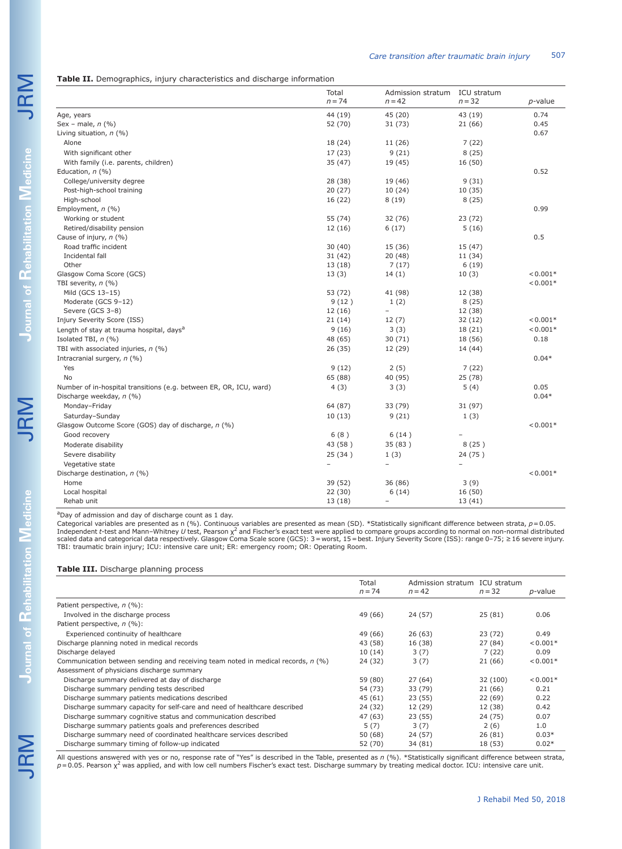|                                                                    | Total<br>$n = 74$        | Admission stratum<br>$n = 42$ | ICU stratum<br>$n = 32$ | $p$ -value |
|--------------------------------------------------------------------|--------------------------|-------------------------------|-------------------------|------------|
| Age, years                                                         | 44 (19)                  | 45 (20)                       | 43 (19)                 | 0.74       |
| Sex - male, $n$ (%)                                                | 52 (70)                  | 31(73)                        | 21(66)                  | 0.45       |
| Living situation, n (%)                                            |                          |                               |                         | 0.67       |
| Alone                                                              | 18 (24)                  | 11 (26)                       | 7(22)                   |            |
| With significant other                                             | 17(23)                   | 9(21)                         | 8(25)                   |            |
| With family (i.e. parents, children)                               | 35 (47)                  | 19 (45)                       | 16 (50)                 |            |
| Education, $n$ (%)                                                 |                          |                               |                         | 0.52       |
| College/university degree                                          | 28 (38)                  | 19 (46)                       | 9(31)                   |            |
| Post-high-school training                                          | 20(27)                   | 10(24)                        | 10(35)                  |            |
| High-school                                                        | 16 (22)                  | 8(19)                         | 8(25)                   |            |
| Employment, n (%)                                                  |                          |                               |                         | 0.99       |
| Working or student                                                 | 55 (74)                  | 32 (76)                       | 23 (72)                 |            |
| Retired/disability pension                                         | 12(16)                   | 6(17)                         | 5(16)                   |            |
| Cause of injury, n (%)                                             |                          |                               |                         | 0.5        |
| Road traffic incident                                              | 30(40)                   | 15 (36)                       | 15 (47)                 |            |
| Incidental fall                                                    | 31(42)                   | 20(48)                        | 11 (34)                 |            |
| Other                                                              | 13(18)                   | 7(17)                         | 6(19)                   |            |
| Glasgow Coma Score (GCS)                                           | 13(3)                    | 14(1)                         | 10(3)                   | $< 0.001*$ |
| TBI severity, $n$ (%)                                              |                          |                               |                         | $< 0.001*$ |
| Mild (GCS 13-15)                                                   | 53 (72)                  | 41 (98)                       | 12 (38)                 |            |
| Moderate (GCS 9-12)                                                | 9(12)                    | 1(2)                          | 8(25)                   |            |
| Severe (GCS 3-8)                                                   | 12(16)                   | ÷.                            | 12 (38)                 |            |
| Injury Severity Score (ISS)                                        | 21(14)                   | 12(7)                         | 32(12)                  | $< 0.001*$ |
| Length of stay at trauma hospital, days <sup>a</sup>               | 9(16)                    | 3(3)                          | 18 (21)                 | $0.001*$   |
| Isolated TBI, $n$ (%)                                              | 48 (65)                  | 30(71)                        | 18 (56)                 | 0.18       |
| TBI with associated injuries, $n$ (%)                              | 26 (35)                  | 12 (29)                       | 14 (44)                 |            |
| Intracranial surgery, n (%)                                        |                          |                               |                         | $0.04*$    |
| Yes                                                                | 9(12)                    | 2(5)                          | 7(22)                   |            |
| No                                                                 | 65 (88)                  | 40 (95)                       | 25(78)                  |            |
| Number of in-hospital transitions (e.g. between ER, OR, ICU, ward) | 4(3)                     | 3(3)                          | 5(4)                    | 0.05       |
| Discharge weekday, n (%)                                           |                          |                               |                         | $0.04*$    |
| Monday-Friday                                                      | 64 (87)                  | 33 (79)                       | 31 (97)                 |            |
| Saturday-Sunday                                                    | 10(13)                   | 9(21)                         | 1(3)                    |            |
| Glasgow Outcome Score (GOS) day of discharge, n (%)                |                          |                               |                         | $0.001*$   |
| Good recovery                                                      | 6(8)                     | 6(14)                         |                         |            |
| Moderate disability                                                | 43 (58)                  | 35 (83)                       | 8(25)                   |            |
| Severe disability                                                  | 25 (34)                  | 1(3)                          | 24 (75)                 |            |
| Vegetative state                                                   | $\overline{\phantom{0}}$ | $\overline{\phantom{a}}$      | $\overline{a}$          |            |
| Discharge destination, $n$ (%)                                     |                          |                               |                         | $< 0.001*$ |
| Home                                                               | 39 (52)                  | 36 (86)                       | 3(9)                    |            |
| Local hospital                                                     | 22(30)                   | 6(14)                         | 16 (50)                 |            |
| Rehab unit                                                         | 13(18)                   | $\equiv$                      | 13(41)                  |            |

<sup>a</sup>Day of admission and day of discharge count as 1 day.

Categorical variables are presented as n (%). Continuous variables are presented as mean (SD). \*Statistically significant difference between strata, *p*=0.05.<br>Independent *t-*test and Mann–Whitney *U* test, Pearson χ<sup>2</sup> an scaled data and categorical data respectively. Glasgow Coma Scale score (GCS): 3=worst, 15=best. Injury Severity Score (ISS): range 0–75; ≥16 severe injury.<br>TBI: traumatic brain injury; ICU: intensive care unit; ER: emerg

### **Table III.** Discharge planning process

|                                                                                  | Total<br>$n = 74$ | Admission stratum ICU stratum<br>$n = 42$ | $n = 32$ | <i>p</i> -value |
|----------------------------------------------------------------------------------|-------------------|-------------------------------------------|----------|-----------------|
| Patient perspective, n (%):                                                      |                   |                                           |          |                 |
| Involved in the discharge process                                                | 49 (66)           | 24 (57)                                   | 25(81)   | 0.06            |
| Patient perspective, n (%):                                                      |                   |                                           |          |                 |
| Experienced continuity of healthcare                                             | 49 (66)           | 26 (63)                                   | 23(72)   | 0.49            |
| Discharge planning noted in medical records                                      | 43 (58)           | 16 (38)                                   | 27 (84)  | $< 0.001*$      |
| Discharge delayed                                                                | 10(14)            | 3(7)                                      | 7(22)    | 0.09            |
| Communication between sending and receiving team noted in medical records, n (%) | 24 (32)           | 3(7)                                      | 21 (66)  | $< 0.001*$      |
| Assessment of physicians discharge summary                                       |                   |                                           |          |                 |
| Discharge summary delivered at day of discharge                                  | 59 (80)           | 27(64)                                    | 32 (100) | $< 0.001*$      |
| Discharge summary pending tests described                                        | 54 (73)           | 33 (79)                                   | 21 (66)  | 0.21            |
| Discharge summary patients medications described                                 | 45 (61)           | 23 (55)                                   | 22(69)   | 0.22            |
| Discharge summary capacity for self-care and need of healthcare described        | 24 (32)           | 12 (29)                                   | 12 (38)  | 0.42            |
| Discharge summary cognitive status and communication described                   | 47 (63)           | 23 (55)                                   | 24 (75)  | 0.07            |
| Discharge summary patients goals and preferences described                       | 5(7)              | 3(7)                                      | 2(6)     | 1.0             |
| Discharge summary need of coordinated healthcare services described              | 50 (68)           | 24 (57)                                   | 26 (81)  | $0.03*$         |
| Discharge summary timing of follow-up indicated                                  | 52 (70)           | 34 (81)                                   | 18 (53)  | $0.02*$         |

All questions answered with yes or no, response rate of "Yes" is described in the Table, presented as *n* (%). \*Statistically significant difference between strata,<br>*p* = 0.05. Pearson x<sup>2</sup> was applied, and with low cell n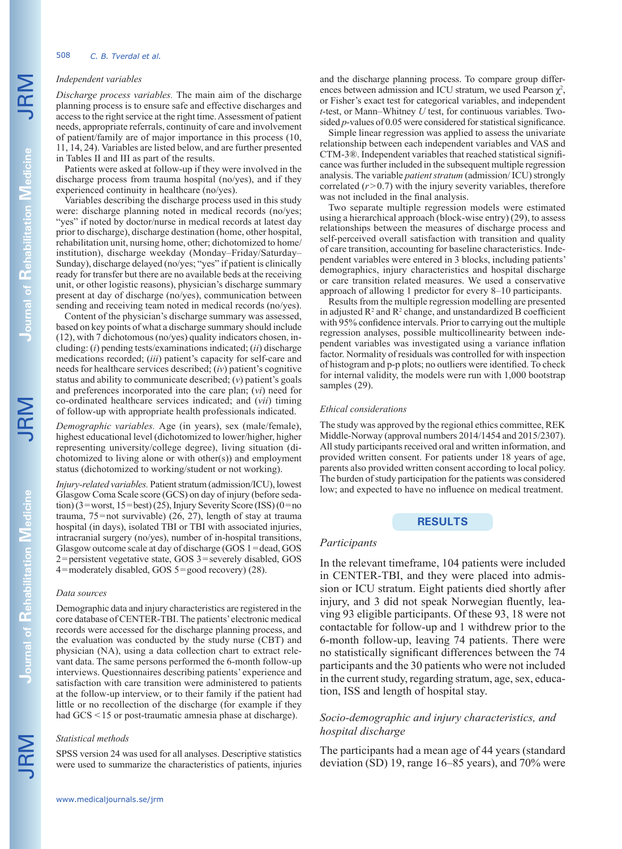## *Independent variables*

*Discharge process variables.* The main aim of the discharge planning process is to ensure safe and effective discharges and access to the right service at the right time. Assessment of patient needs, appropriate referrals, continuity of care and involvement of patient/family are of major importance in this process (10, 11, 14, 24). Variables are listed below, and are further presented in Tables II and III as part of the results.

Patients were asked at follow-up if they were involved in the discharge process from trauma hospital (no/yes), and if they experienced continuity in healthcare (no/yes).

Variables describing the discharge process used in this study were: discharge planning noted in medical records (no/yes; "yes" if noted by doctor/nurse in medical records at latest day prior to discharge), discharge destination (home, other hospital, rehabilitation unit, nursing home, other; dichotomized to home/ institution), discharge weekday (Monday–Friday/Saturday– Sunday), discharge delayed (no/yes; "yes" if patient is clinically ready for transfer but there are no available beds at the receiving unit, or other logistic reasons), physician's discharge summary present at day of discharge (no/yes), communication between sending and receiving team noted in medical records (no/yes).

Content of the physician's discharge summary was assessed, based on key points of what a discharge summary should include (12), with 7 dichotomous (no/yes) quality indicators chosen, including: (*i*) pending tests/examinations indicated; (*ii*) discharge medications recorded; (*iii*) patient's capacity for self-care and needs for healthcare services described; (*iv*) patient's cognitive status and ability to communicate described; (*v*) patient's goals and preferences incorporated into the care plan; (*vi*) need for co-ordinated healthcare services indicated; and (*vii*) timing of follow-up with appropriate health professionals indicated.

*Demographic variables.* Age (in years), sex (male/female), highest educational level (dichotomized to lower/higher, higher representing university/college degree), living situation (dichotomized to living alone or with other(s)) and employment status (dichotomized to working/student or not working).

*Injury-related variables.* Patient stratum (admission/ICU), lowest Glasgow Coma Scale score (GCS) on day of injury (before sedation) (3=worst, 15=best) (25), Injury Severity Score (ISS) (0=no trauma, 75=not survivable) (26, 27), length of stay at trauma hospital (in days), isolated TBI or TBI with associated injuries, intracranial surgery (no/yes), number of in-hospital transitions, Glasgow outcome scale at day of discharge (GOS 1=dead, GOS 2=persistent vegetative state, GOS 3=severely disabled, GOS 4=moderately disabled, GOS 5=good recovery) (28).

### *Data sources*

Demographic data and injury characteristics are registered in the core database of CENTER-TBI. The patients' electronic medical records were accessed for the discharge planning process, and the evaluation was conducted by the study nurse (CBT) and physician (NA), using a data collection chart to extract relevant data. The same persons performed the 6-month follow-up interviews. Questionnaires describing patients' experience and satisfaction with care transition were administered to patients at the follow-up interview, or to their family if the patient had little or no recollection of the discharge (for example if they had GCS <15 or post-traumatic amnesia phase at discharge).

## *Statistical methods*

SPSS version 24 was used for all analyses. Descriptive statistics were used to summarize the characteristics of patients, injuries and the discharge planning process. To compare group differences between admission and ICU stratum, we used Pearson  $\chi^2$ , or Fisher's exact test for categorical variables, and independent *t*-test, or Mann–Whitney *U* test, for continuous variables. Twosided *p*-values of 0.05 were considered for statistical significance.

Simple linear regression was applied to assess the univariate relationship between each independent variables and VAS and CTM-3®. Independent variables that reached statistical significance was further included in the subsequent multiple regression analysis. The variable *patient stratum* (admission/ ICU) strongly correlated  $(r>0.7)$  with the injury severity variables, therefore was not included in the final analysis.

Two separate multiple regression models were estimated using a hierarchical approach (block-wise entry) (29), to assess relationships between the measures of discharge process and self-perceived overall satisfaction with transition and quality of care transition, accounting for baseline characteristics. Independent variables were entered in 3 blocks, including patients' demographics, injury characteristics and hospital discharge or care transition related measures. We used a conservative approach of allowing 1 predictor for every 8–10 participants.

Results from the multiple regression modelling are presented in adjusted  $\mathbb{R}^2$  and  $\mathbb{R}^2$  change, and unstandardized B coefficient with 95% confidence intervals. Prior to carrying out the multiple regression analyses, possible multicollinearity between independent variables was investigated using a variance inflation factor. Normality of residuals was controlled for with inspection of histogram and p-p plots; no outliers were identified. To check for internal validity, the models were run with 1,000 bootstrap samples  $(29)$ .

#### *Ethical considerations*

The study was approved by the regional ethics committee, REK Middle-Norway (approval numbers 2014/1454 and 2015/2307). All study participants received oral and written information, and provided written consent. For patients under 18 years of age, parents also provided written consent according to local policy. The burden of study participation for the patients was considered low; and expected to have no influence on medical treatment.

## **RESULTS**

### *Participants*

In the relevant timeframe, 104 patients were included in CENTER-TBI, and they were placed into admission or ICU stratum. Eight patients died shortly after injury, and 3 did not speak Norwegian fluently, leaving 93 eligible participants. Of these 93, 18 were not contactable for follow-up and 1 withdrew prior to the 6-month follow-up, leaving 74 patients. There were no statistically significant differences between the 74 participants and the 30 patients who were not included in the current study, regarding stratum, age, sex, education, ISS and length of hospital stay.

# *Socio-demographic and injury characteristics, and hospital discharge*

The participants had a mean age of 44 years (standard deviation (SD) 19, range 16–85 years), and 70% were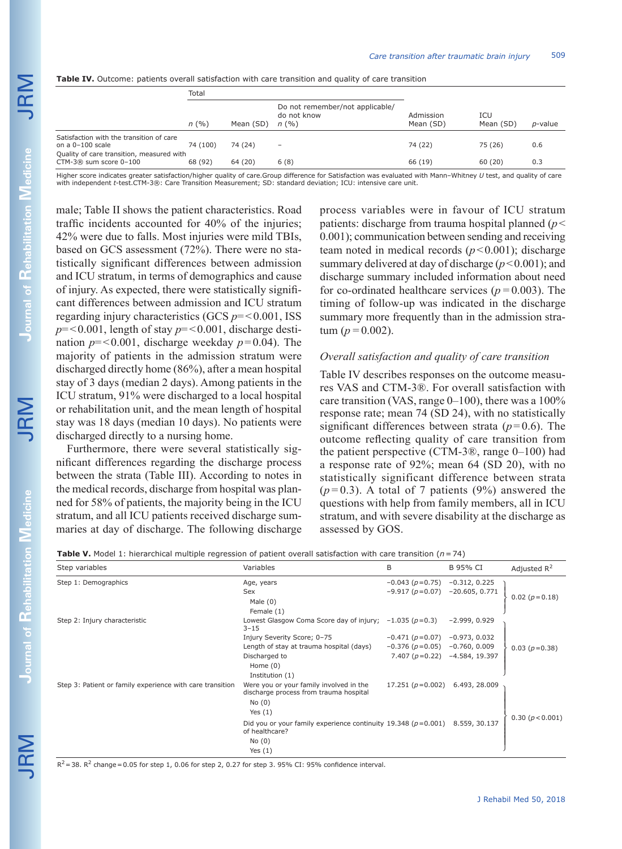JRM

**Table IV.** Outcome: patients overall satisfaction with care transition and quality of care transition

|                                                                         | Total    |           |                                                         |                        |                  |            |
|-------------------------------------------------------------------------|----------|-----------|---------------------------------------------------------|------------------------|------------------|------------|
|                                                                         | n(%)     | Mean (SD) | Do not remember/not applicable/<br>do not know<br>n(96) | Admission<br>Mean (SD) | ICU<br>Mean (SD) | $p$ -value |
| Satisfaction with the transition of care<br>on a 0-100 scale            | 74 (100) | 74 (24)   | -                                                       | 74 (22)                | 75 (26)          | 0.6        |
| Quality of care transition, measured with<br>$CTM-3@$ sum score $0-100$ | 68 (92)  | 64 (20)   | 6(8)                                                    | 66 (19)                | 60(20)           | 0.3        |

Higher score indicates greater satisfaction/higher quality of care.Group difference for Satisfaction was evaluated with Mann–Whitney *U* test, and quality of care with independent *t*-test.CTM-3®: Care Transition Measurement; SD: standard deviation; ICU: intensive care unit.

male; Table II shows the patient characteristics. Road traffic incidents accounted for 40% of the injuries; 42% were due to falls. Most injuries were mild TBIs, based on GCS assessment (72%). There were no statistically significant differences between admission and ICU stratum, in terms of demographics and cause of injury. As expected, there were statistically significant differences between admission and ICU stratum regarding injury characteristics (GCS  $p = 0.001$ , ISS  $p = 0.001$ , length of stay  $p = 0.001$ , discharge destination  $p = 0.001$ , discharge weekday  $p = 0.04$ ). The majority of patients in the admission stratum were discharged directly home (86%), after a mean hospital stay of 3 days (median 2 days). Among patients in the ICU stratum, 91% were discharged to a local hospital or rehabilitation unit, and the mean length of hospital stay was 18 days (median 10 days). No patients were discharged directly to a nursing home.

Furthermore, there were several statistically significant differences regarding the discharge process between the strata (Table III). According to notes in the medical records, discharge from hospital was planned for 58% of patients, the majority being in the ICU stratum, and all ICU patients received discharge summaries at day of discharge. The following discharge process variables were in favour of ICU stratum patients: discharge from trauma hospital planned (*p*< 0.001); communication between sending and receiving team noted in medical records  $(p<0.001)$ ; discharge summary delivered at day of discharge  $(p<0.001)$ ; and discharge summary included information about need for co-ordinated healthcare services (*p=*0.003). The timing of follow-up was indicated in the discharge summary more frequently than in the admission stratum ( $p=0.002$ ).

# *Overall satisfaction and quality of care transition*

Table IV describes responses on the outcome measures VAS and CTM-3®. For overall satisfaction with care transition (VAS, range  $0-100$ ), there was a  $100\%$ response rate; mean 74 (SD 24), with no statistically significant differences between strata  $(p=0.6)$ . The outcome reflecting quality of care transition from the patient perspective (CTM-3®, range 0–100) had a response rate of 92%; mean 64 (SD 20), with no statistically significant difference between strata  $(p=0.3)$ . A total of 7 patients (9%) answered the questions with help from family members, all in ICU stratum, and with severe disability at the discharge as assessed by GOS.

| <b>Table V.</b> Model 1: hierarchical multiple regression of patient overall satisfaction with care transition ( $n=74$ ) |  |  |  |
|---------------------------------------------------------------------------------------------------------------------------|--|--|--|
|---------------------------------------------------------------------------------------------------------------------------|--|--|--|

| Step variables                                            | Variables                                                                                                                 | B                                                            | B 95% CI                                             | Adjusted $R^2$   |
|-----------------------------------------------------------|---------------------------------------------------------------------------------------------------------------------------|--------------------------------------------------------------|------------------------------------------------------|------------------|
| Step 1: Demographics                                      | Age, years<br>Sex<br>Male $(0)$<br>Female (1)                                                                             | $-0.043(p=0.75)$<br>$-9.917(p=0.07)$                         | $-0.312, 0.225$<br>$-20.605, 0.771$                  | $0.02(p=0.18)$   |
| Step 2: Injury characteristic                             | Lowest Glasgow Coma Score day of injury; $-1.035$ ( $p=0.3$ )<br>$3 - 15$                                                 |                                                              | $-2.999, 0.929$                                      |                  |
|                                                           | Injury Severity Score; 0-75<br>Length of stay at trauma hospital (days)<br>Discharged to<br>Home $(0)$<br>Institution (1) | $-0.471(p=0.07)$<br>$-0.376(p=0.05)$<br>7.407 ( $p = 0.22$ ) | $-0.973, 0.032$<br>$-0.760, 0.009$<br>-4.584, 19.397 | $0.03 (p=0.38)$  |
| Step 3: Patient or family experience with care transition | Were you or your family involved in the<br>discharge process from trauma hospital<br>No(0)<br>Yes $(1)$                   | 17.251 ( $p=0.002$ )                                         | 6.493, 28.009                                        |                  |
|                                                           | Did you or your family experience continuity 19.348 ( $p=0.001$ ) 8.559, 30.137<br>of healthcare?<br>No(0)<br>Yes $(1)$   |                                                              |                                                      | 0.30 (p < 0.001) |

 $R^2$  = 38.  $R^2$  change = 0.05 for step 1, 0.06 for step 2, 0.27 for step 3. 95% CI: 95% confidence interval.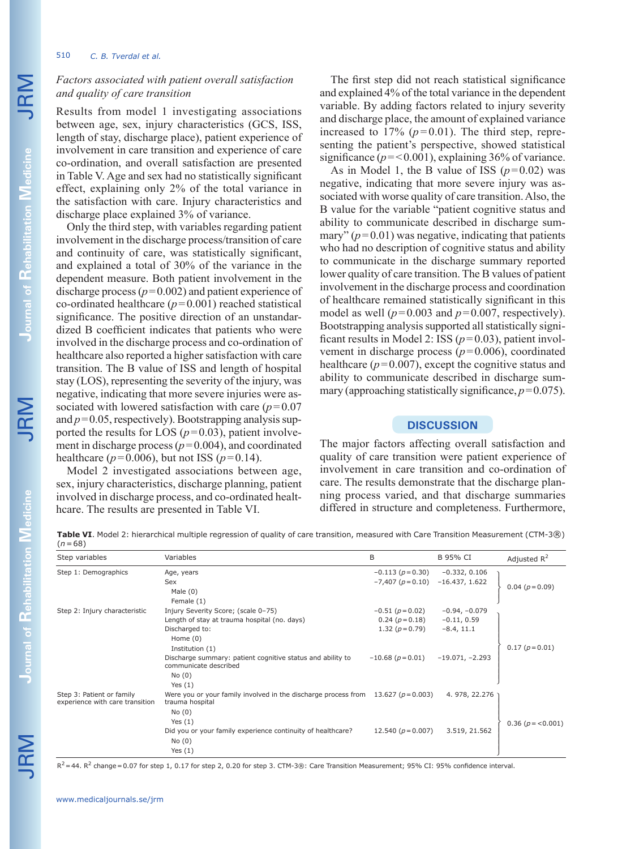# 510 *C. B. Tverdal et al.*

# *Factors associated with patient overall satisfaction and quality of care transition*

Results from model 1 investigating associations between age, sex, injury characteristics (GCS, ISS, length of stay, discharge place), patient experience of involvement in care transition and experience of care co-ordination, and overall satisfaction are presented in Table V. Age and sex had no statistically significant effect, explaining only 2% of the total variance in the satisfaction with care. Injury characteristics and discharge place explained 3% of variance.

Only the third step, with variables regarding patient involvement in the discharge process/transition of care and continuity of care, was statistically significant, and explained a total of 30% of the variance in the dependent measure. Both patient involvement in the discharge process  $(p=0.002)$  and patient experience of co-ordinated healthcare  $(p=0.001)$  reached statistical significance. The positive direction of an unstandardized B coefficient indicates that patients who were involved in the discharge process and co-ordination of healthcare also reported a higher satisfaction with care transition. The B value of ISS and length of hospital stay (LOS), representing the severity of the injury, was negative, indicating that more severe injuries were associated with lowered satisfaction with care (*p*=0.07 and  $p=0.05$ , respectively). Bootstrapping analysis supported the results for LOS  $(p=0.03)$ , patient involvement in discharge process ( $p=0.004$ ), and coordinated healthcare ( $p = 0.006$ ), but not ISS ( $p = 0.14$ ).

Model 2 investigated associations between age, sex, injury characteristics, discharge planning, patient involved in discharge process, and co-ordinated healthcare. The results are presented in Table VI.

The first step did not reach statistical significance and explained 4% of the total variance in the dependent variable. By adding factors related to injury severity and discharge place, the amount of explained variance increased to  $17\%$  ( $p=0.01$ ). The third step, representing the patient's perspective, showed statistical significance  $(p = 0.001)$ , explaining 36% of variance.

As in Model 1, the B value of ISS  $(p=0.02)$  was negative, indicating that more severe injury was associated with worse quality of care transition. Also, the B value for the variable "patient cognitive status and ability to communicate described in discharge summary"  $(p=0.01)$  was negative, indicating that patients who had no description of cognitive status and ability to communicate in the discharge summary reported lower quality of care transition. The B values of patient involvement in the discharge process and coordination of healthcare remained statistically significant in this model as well ( $p=0.003$  and  $p=0.007$ , respectively). Bootstrapping analysis supported all statistically significant results in Model 2: ISS (*p*=0.03), patient involvement in discharge process  $(p=0.006)$ , coordinated healthcare  $(p=0.007)$ , except the cognitive status and ability to communicate described in discharge summary (approaching statistically significance,  $p=0.075$ ).

# **DISCUSSION**

The major factors affecting overall satisfaction and quality of care transition were patient experience of involvement in care transition and co-ordination of care. The results demonstrate that the discharge planning process varied, and that discharge summaries differed in structure and completeness. Furthermore,

**Table VI**. Model 2: hierarchical multiple regression of quality of care transition, measured with Care Transition Measurement (CTM-3®) (*n*=68)

| Step variables                                               | Variables                                                                           | B                      | B 95% CI          | Adjusted $R^2$    |
|--------------------------------------------------------------|-------------------------------------------------------------------------------------|------------------------|-------------------|-------------------|
| Step 1: Demographics                                         | Age, years                                                                          | $-0.113(p=0.30)$       | $-0.332, 0.106$   |                   |
|                                                              | Sex<br>Male $(0)$<br>Female (1)                                                     | $-7,407(p=0.10)$       | $-16.437, 1.622$  | $0.04(p=0.09)$    |
| Step 2: Injury characteristic                                | Injury Severity Score; (scale 0-75)                                                 | $-0.51(p=0.02)$        | $-0.94, -0.079$   |                   |
|                                                              | Length of stay at trauma hospital (no. days)                                        | $0.24(p=0.18)$         | $-0.11, 0.59$     |                   |
|                                                              | Discharged to:                                                                      | 1.32 $(p=0.79)$        | $-8.4, 11.1$      |                   |
|                                                              | Home $(0)$                                                                          |                        |                   |                   |
|                                                              | Institution (1)                                                                     |                        |                   | $0.17(p=0.01)$    |
|                                                              | Discharge summary: patient cognitive status and ability to<br>communicate described | $-10.68(p=0.01)$       | $-19.071, -2.293$ |                   |
|                                                              | No(0)                                                                               |                        |                   |                   |
|                                                              | Yes $(1)$                                                                           |                        |                   |                   |
| Step 3: Patient or family<br>experience with care transition | Were you or your family involved in the discharge process from<br>trauma hospital   | 13.627 ( $p = 0.003$ ) | 4.978, 22.276     |                   |
|                                                              | No(0)                                                                               |                        |                   |                   |
|                                                              | Yes $(1)$                                                                           |                        |                   | $0.36(p = 0.001)$ |
|                                                              | Did you or your family experience continuity of healthcare?                         | 12.540 ( $p = 0.007$ ) | 3.519, 21.562     |                   |
|                                                              | No(0)                                                                               |                        |                   |                   |
|                                                              | Yes $(1)$                                                                           |                        |                   |                   |

 $R^2$  = 44.  $R^2$  change = 0.07 for step 1, 0.17 for step 2, 0.20 for step 3. CTM-3®: Care Transition Measurement; 95% CI: 95% confidence interval.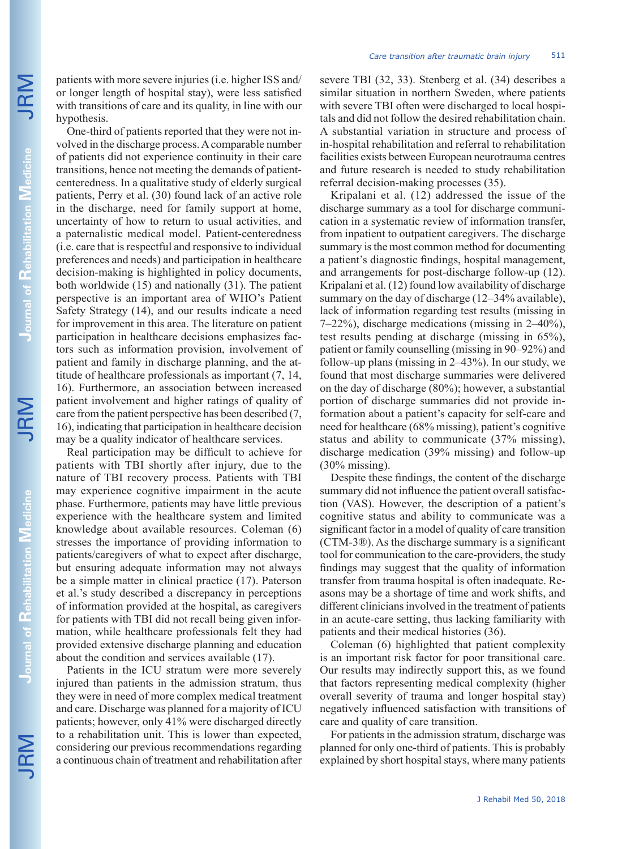One-third of patients reported that they were not involved in the discharge process. A comparable number of patients did not experience continuity in their care transitions, hence not meeting the demands of patientcenteredness. In a qualitative study of elderly surgical patients, Perry et al. (30) found lack of an active role in the discharge, need for family support at home, uncertainty of how to return to usual activities, and a paternalistic medical model. Patient-centeredness (i.e. care that is respectful and responsive to individual preferences and needs) and participation in healthcare decision-making is highlighted in policy documents, both worldwide (15) and nationally (31). The patient perspective is an important area of WHO's Patient Safety Strategy (14), and our results indicate a need for improvement in this area. The literature on patient participation in healthcare decisions emphasizes factors such as information provision, involvement of patient and family in discharge planning, and the attitude of healthcare professionals as important (7, 14, 16). Furthermore, an association between increased patient involvement and higher ratings of quality of care from the patient perspective has been described (7, 16), indicating that participation in healthcare decision may be a quality indicator of healthcare services.

Real participation may be difficult to achieve for patients with TBI shortly after injury, due to the nature of TBI recovery process. Patients with TBI may experience cognitive impairment in the acute phase. Furthermore, patients may have little previous experience with the healthcare system and limited knowledge about available resources. Coleman (6) stresses the importance of providing information to patients/caregivers of what to expect after discharge, but ensuring adequate information may not always be a simple matter in clinical practice (17). Paterson et al.'s study described a discrepancy in perceptions of information provided at the hospital, as caregivers for patients with TBI did not recall being given information, while healthcare professionals felt they had provided extensive discharge planning and education about the condition and services available (17).

Patients in the ICU stratum were more severely injured than patients in the admission stratum, thus they were in need of more complex medical treatment and care. Discharge was planned for a majority of ICU patients; however, only 41% were discharged directly to a rehabilitation unit. This is lower than expected, considering our previous recommendations regarding a continuous chain of treatment and rehabilitation after severe TBI (32, 33). Stenberg et al. (34) describes a similar situation in northern Sweden, where patients with severe TBI often were discharged to local hospitals and did not follow the desired rehabilitation chain. A substantial variation in structure and process of in-hospital rehabilitation and referral to rehabilitation facilities exists between European neurotrauma centres and future research is needed to study rehabilitation referral decision-making processes (35).

Kripalani et al. (12) addressed the issue of the discharge summary as a tool for discharge communication in a systematic review of information transfer, from inpatient to outpatient caregivers. The discharge summary is the most common method for documenting a patient's diagnostic findings, hospital management, and arrangements for post-discharge follow-up (12). Kripalani et al. (12) found low availability of discharge summary on the day of discharge (12–34% available), lack of information regarding test results (missing in 7–22%), discharge medications (missing in 2–40%), test results pending at discharge (missing in 65%), patient or family counselling (missing in 90–92%) and follow-up plans (missing in 2–43%). In our study, we found that most discharge summaries were delivered on the day of discharge (80%); however, a substantial portion of discharge summaries did not provide information about a patient's capacity for self-care and need for healthcare (68% missing), patient's cognitive status and ability to communicate (37% missing), discharge medication (39% missing) and follow-up (30% missing).

Despite these findings, the content of the discharge summary did not influence the patient overall satisfaction (VAS). However, the description of a patient's cognitive status and ability to communicate was a significant factor in a model of quality of care transition (CTM-3®). As the discharge summary is a significant tool for communication to the care-providers, the study findings may suggest that the quality of information transfer from trauma hospital is often inadequate. Reasons may be a shortage of time and work shifts, and different clinicians involved in the treatment of patients in an acute-care setting, thus lacking familiarity with patients and their medical histories (36).

Coleman (6) highlighted that patient complexity is an important risk factor for poor transitional care. Our results may indirectly support this, as we found that factors representing medical complexity (higher overall severity of trauma and longer hospital stay) negatively influenced satisfaction with transitions of care and quality of care transition.

For patients in the admission stratum, discharge was planned for only one-third of patients. This is probably explained by short hospital stays, where many patients

**Rehabilitation** 

**Journal of** 

**Rehabilitation**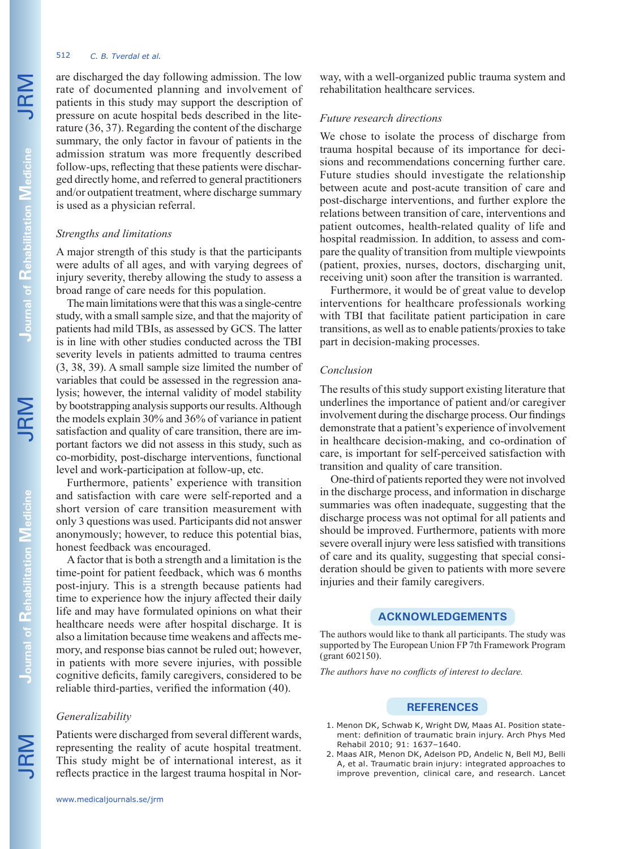# 512 *C. B. Tverdal et al.*

are discharged the day following admission. The low rate of documented planning and involvement of patients in this study may support the description of pressure on acute hospital beds described in the literature (36, 37). Regarding the content of the discharge summary, the only factor in favour of patients in the admission stratum was more frequently described follow-ups, reflecting that these patients were discharged directly home, and referred to general practitioners and/or outpatient treatment, where discharge summary is used as a physician referral.

# *Strengths and limitations*

A major strength of this study is that the participants were adults of all ages, and with varying degrees of injury severity, thereby allowing the study to assess a broad range of care needs for this population.

The main limitations were that this was a single-centre study, with a small sample size, and that the majority of patients had mild TBIs, as assessed by GCS. The latter is in line with other studies conducted across the TBI severity levels in patients admitted to trauma centres (3, 38, 39). A small sample size limited the number of variables that could be assessed in the regression analysis; however, the internal validity of model stability by bootstrapping analysis supports our results. Although the models explain 30% and 36% of variance in patient satisfaction and quality of care transition, there are important factors we did not assess in this study, such as co-morbidity, post-discharge interventions, functional level and work-participation at follow-up, etc.

Furthermore, patients' experience with transition and satisfaction with care were self-reported and a short version of care transition measurement with only 3 questions was used. Participants did not answer anonymously; however, to reduce this potential bias, honest feedback was encouraged.

A factor that is both a strength and a limitation is the time-point for patient feedback, which was 6 months post-injury. This is a strength because patients had time to experience how the injury affected their daily life and may have formulated opinions on what their healthcare needs were after hospital discharge. It is also a limitation because time weakens and affects memory, and response bias cannot be ruled out; however, in patients with more severe injuries, with possible cognitive deficits, family caregivers, considered to be reliable third-parties, verified the information (40).

# *Generalizability*

Patients were discharged from several different wards, representing the reality of acute hospital treatment. This study might be of international interest, as it reflects practice in the largest trauma hospital in Norway, with a well-organized public trauma system and rehabilitation healthcare services.

## *Future research directions*

We chose to isolate the process of discharge from trauma hospital because of its importance for decisions and recommendations concerning further care. Future studies should investigate the relationship between acute and post-acute transition of care and post-discharge interventions, and further explore the relations between transition of care, interventions and patient outcomes, health-related quality of life and hospital readmission. In addition, to assess and compare the quality of transition from multiple viewpoints (patient, proxies, nurses, doctors, discharging unit, receiving unit) soon after the transition is warranted.

Furthermore, it would be of great value to develop interventions for healthcare professionals working with TBI that facilitate patient participation in care. transitions, as well as to enable patients/proxies to take part in decision-making processes.

## *Conclusion*

The results of this study support existing literature that underlines the importance of patient and/or caregiver involvement during the discharge process. Our findings demonstrate that a patient's experience of involvement in healthcare decision-making, and co-ordination of care, is important for self-perceived satisfaction with transition and quality of care transition.

One-third of patients reported they were not involved in the discharge process, and information in discharge summaries was often inadequate, suggesting that the discharge process was not optimal for all patients and should be improved. Furthermore, patients with more severe overall injury were less satisfied with transitions of care and its quality, suggesting that special consideration should be given to patients with more severe injuries and their family caregivers.

# **ACKNOWLEDGEMENTS**

The authors would like to thank all participants. The study was supported by The European Union FP 7th Framework Program (grant 602150).

*The authors have no conflicts of interest to declare.*

### **REFERENCES**

- 1. Menon DK, Schwab K, Wright DW, Maas AI. Position statement: definition of traumatic brain injury. Arch Phys Med Rehabil 2010; 91: 1637–1640.
- 2. Maas AIR, Menon DK, Adelson PD, Andelic N, Bell MJ, Belli A, et al. Traumatic brain injury: integrated approaches to improve prevention, clinical care, and research. Lancet